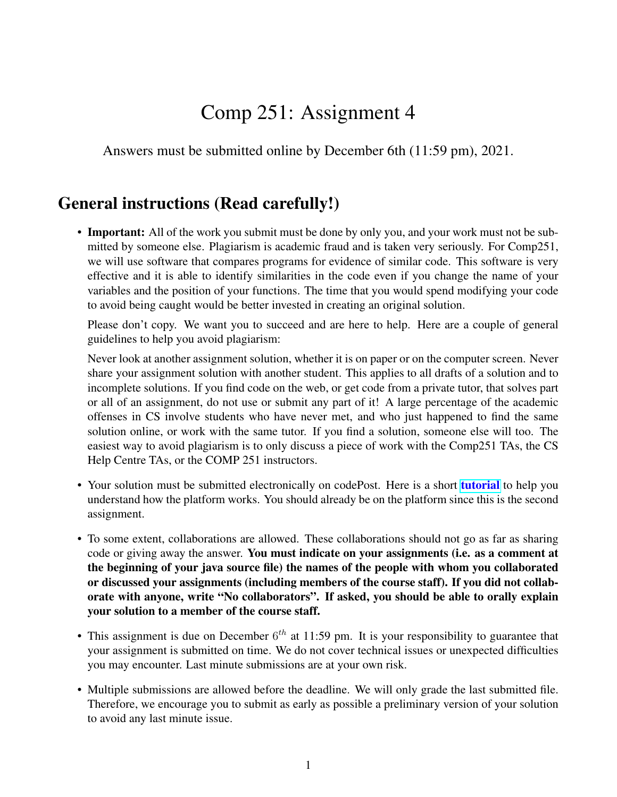## Comp 251: Assignment 4

Answers must be submitted online by December 6th (11:59 pm), 2021.

## General instructions (Read carefully!)

• Important: All of the work you submit must be done by only you, and your work must not be submitted by someone else. Plagiarism is academic fraud and is taken very seriously. For Comp251, we will use software that compares programs for evidence of similar code. This software is very effective and it is able to identify similarities in the code even if you change the name of your variables and the position of your functions. The time that you would spend modifying your code to avoid being caught would be better invested in creating an original solution.

Please don't copy. We want you to succeed and are here to help. Here are a couple of general guidelines to help you avoid plagiarism:

Never look at another assignment solution, whether it is on paper or on the computer screen. Never share your assignment solution with another student. This applies to all drafts of a solution and to incomplete solutions. If you find code on the web, or get code from a private tutor, that solves part or all of an assignment, do not use or submit any part of it! A large percentage of the academic offenses in CS involve students who have never met, and who just happened to find the same solution online, or work with the same tutor. If you find a solution, someone else will too. The easiest way to avoid plagiarism is to only discuss a piece of work with the Comp251 TAs, the CS Help Centre TAs, or the COMP 251 instructors.

- Your solution must be submitted electronically on codePost. Here is a short **[tutorial](https://youtu.be/Sn-6PopS70k)** to help you understand how the platform works. You should already be on the platform since this is the second assignment.
- To some extent, collaborations are allowed. These collaborations should not go as far as sharing code or giving away the answer. You must indicate on your assignments (i.e. as a comment at the beginning of your java source file) the names of the people with whom you collaborated or discussed your assignments (including members of the course staff). If you did not collaborate with anyone, write "No collaborators". If asked, you should be able to orally explain your solution to a member of the course staff.
- This assignment is due on December  $6<sup>th</sup>$  at 11:59 pm. It is your responsibility to guarantee that your assignment is submitted on time. We do not cover technical issues or unexpected difficulties you may encounter. Last minute submissions are at your own risk.
- Multiple submissions are allowed before the deadline. We will only grade the last submitted file. Therefore, we encourage you to submit as early as possible a preliminary version of your solution to avoid any last minute issue.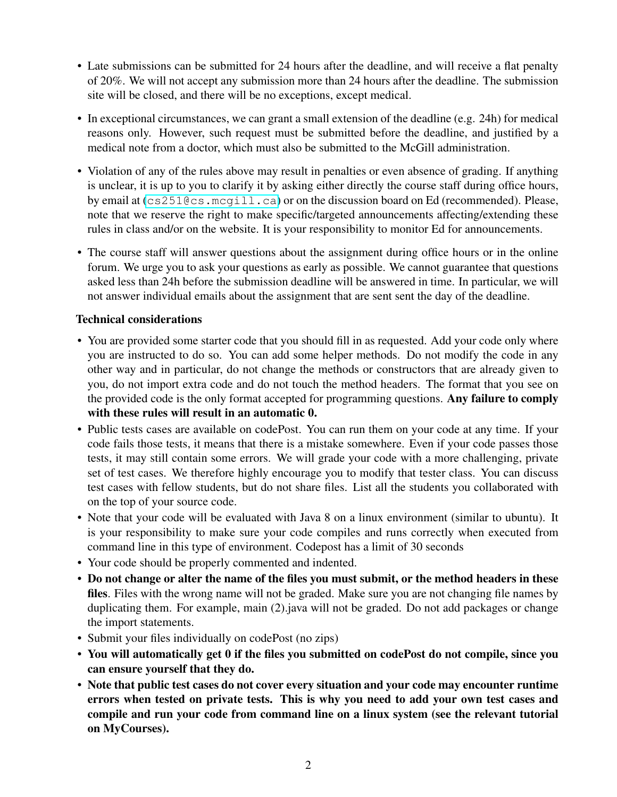- Late submissions can be submitted for 24 hours after the deadline, and will receive a flat penalty of 20%. We will not accept any submission more than 24 hours after the deadline. The submission site will be closed, and there will be no exceptions, except medical.
- In exceptional circumstances, we can grant a small extension of the deadline (e.g. 24h) for medical reasons only. However, such request must be submitted before the deadline, and justified by a medical note from a doctor, which must also be submitted to the McGill administration.
- Violation of any of the rules above may result in penalties or even absence of grading. If anything is unclear, it is up to you to clarify it by asking either directly the course staff during office hours, by email at (<cs251@cs.mcgill.ca>) or on the discussion board on Ed (recommended). Please, note that we reserve the right to make specific/targeted announcements affecting/extending these rules in class and/or on the website. It is your responsibility to monitor Ed for announcements.
- The course staff will answer questions about the assignment during office hours or in the online forum. We urge you to ask your questions as early as possible. We cannot guarantee that questions asked less than 24h before the submission deadline will be answered in time. In particular, we will not answer individual emails about the assignment that are sent sent the day of the deadline.

## Technical considerations

- You are provided some starter code that you should fill in as requested. Add your code only where you are instructed to do so. You can add some helper methods. Do not modify the code in any other way and in particular, do not change the methods or constructors that are already given to you, do not import extra code and do not touch the method headers. The format that you see on the provided code is the only format accepted for programming questions. Any failure to comply with these rules will result in an automatic 0.
- Public tests cases are available on codePost. You can run them on your code at any time. If your code fails those tests, it means that there is a mistake somewhere. Even if your code passes those tests, it may still contain some errors. We will grade your code with a more challenging, private set of test cases. We therefore highly encourage you to modify that tester class. You can discuss test cases with fellow students, but do not share files. List all the students you collaborated with on the top of your source code.
- Note that your code will be evaluated with Java 8 on a linux environment (similar to ubuntu). It is your responsibility to make sure your code compiles and runs correctly when executed from command line in this type of environment. Codepost has a limit of 30 seconds
- Your code should be properly commented and indented.
- Do not change or alter the name of the files you must submit, or the method headers in these files. Files with the wrong name will not be graded. Make sure you are not changing file names by duplicating them. For example, main (2).java will not be graded. Do not add packages or change the import statements.
- Submit your files individually on codePost (no zips)
- You will automatically get 0 if the files you submitted on codePost do not compile, since you can ensure yourself that they do.
- Note that public test cases do not cover every situation and your code may encounter runtime errors when tested on private tests. This is why you need to add your own test cases and compile and run your code from command line on a linux system (see the relevant tutorial on MyCourses).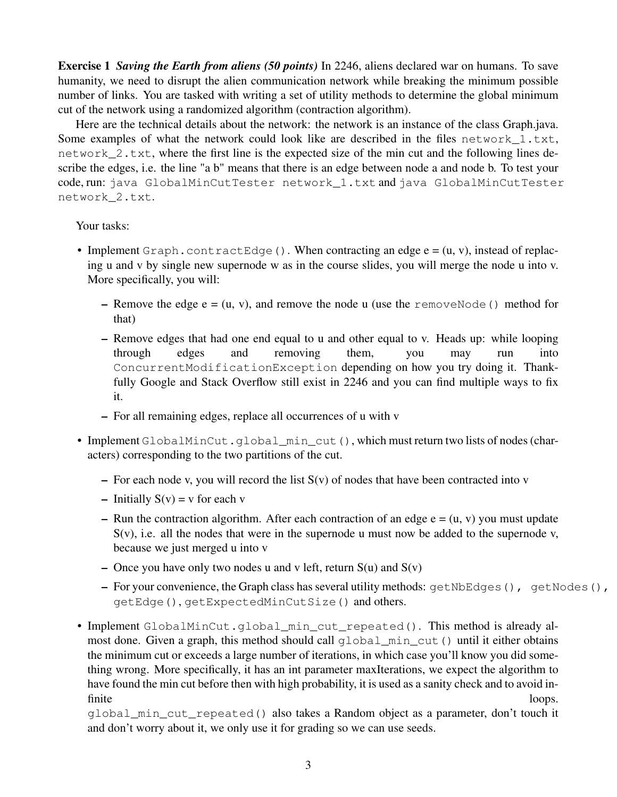Exercise 1 *Saving the Earth from aliens (50 points)* In 2246, aliens declared war on humans. To save humanity, we need to disrupt the alien communication network while breaking the minimum possible number of links. You are tasked with writing a set of utility methods to determine the global minimum cut of the network using a randomized algorithm (contraction algorithm).

Here are the technical details about the network: the network is an instance of the class Graph.java. Some examples of what the network could look like are described in the files network 1.txt, network\_2.txt, where the first line is the expected size of the min cut and the following lines describe the edges, i.e. the line "a b" means that there is an edge between node a and node b. To test your code, run: java GlobalMinCutTester network\_1.txt and java GlobalMinCutTester network\_2.txt.

Your tasks:

- Implement Graph.contractEdge(). When contracting an edge  $e = (u, v)$ , instead of replacing u and v by single new supernode w as in the course slides, you will merge the node u into v. More specifically, you will:
	- Remove the edge  $e = (u, v)$ , and remove the node u (use the removeNode () method for that)
	- Remove edges that had one end equal to u and other equal to v. Heads up: while looping through edges and removing them, you may run into ConcurrentModificationException depending on how you try doing it. Thankfully Google and Stack Overflow still exist in 2246 and you can find multiple ways to fix it.
	- For all remaining edges, replace all occurrences of u with v
- Implement GlobalMinCut.global\_min\_cut(), which must return two lists of nodes (characters) corresponding to the two partitions of the cut.
	- For each node v, you will record the list  $S(v)$  of nodes that have been contracted into v
	- Initially  $S(v) = v$  for each v
	- Run the contraction algorithm. After each contraction of an edge  $e = (u, v)$  you must update  $S(v)$ , i.e. all the nodes that were in the supernode u must now be added to the supernode v, because we just merged u into v
	- Once you have only two nodes u and v left, return  $S(u)$  and  $S(v)$
	- For your convenience, the Graph class has several utility methods: getNbEdges(), getNodes(), getEdge(), getExpectedMinCutSize() and others.
- Implement GlobalMinCut.global\_min\_cut\_repeated(). This method is already almost done. Given a graph, this method should call global\_min\_cut() until it either obtains the minimum cut or exceeds a large number of iterations, in which case you'll know you did something wrong. More specifically, it has an int parameter maxIterations, we expect the algorithm to have found the min cut before then with high probability, it is used as a sanity check and to avoid infinite loops.

global\_min\_cut\_repeated() also takes a Random object as a parameter, don't touch it and don't worry about it, we only use it for grading so we can use seeds.